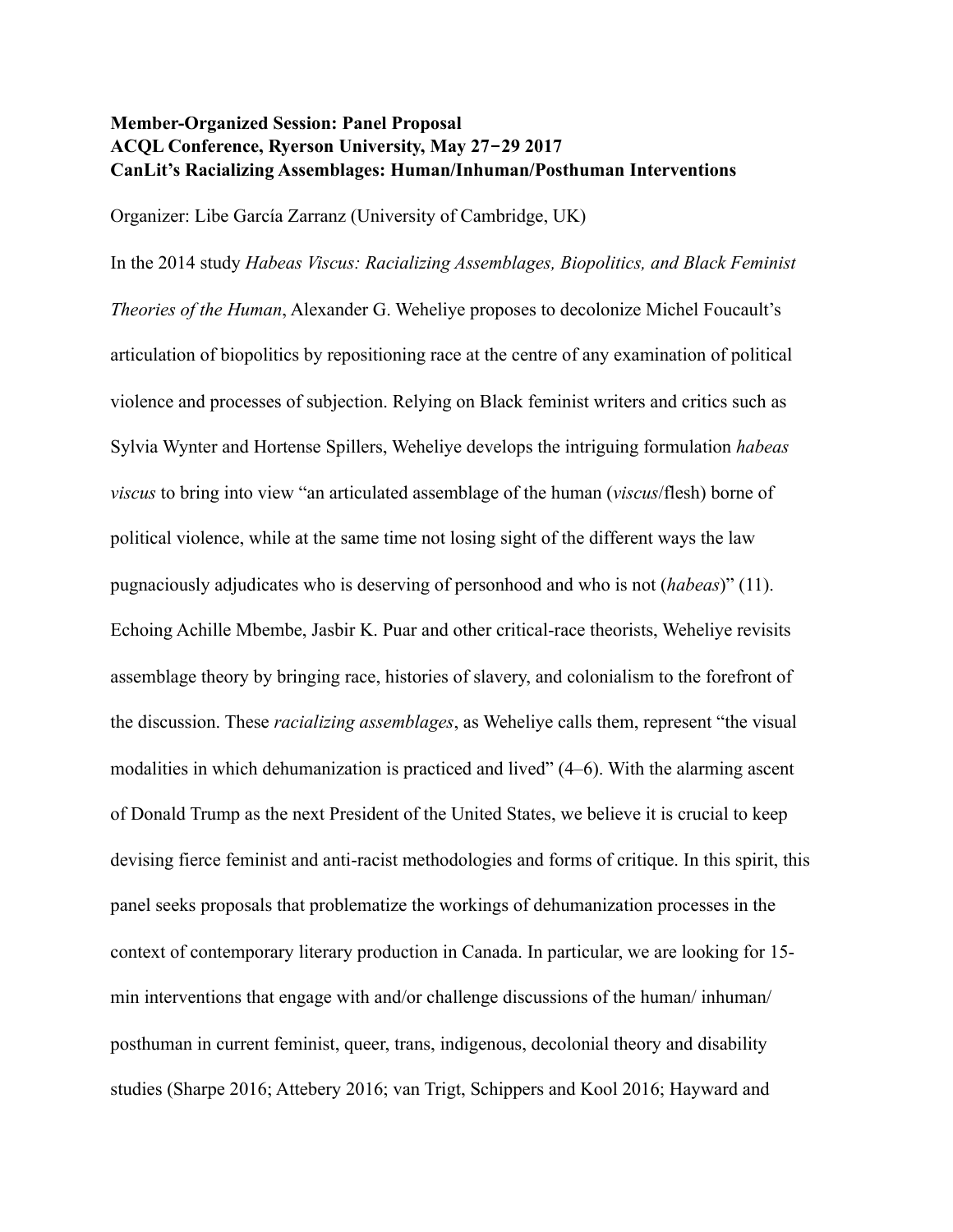## **Member-Organized Session: Panel Proposal ACQL Conference, Ryerson University, May 27-29 2017 CanLit's Racializing Assemblages: Human/Inhuman/Posthuman Interventions**

Organizer: Libe García Zarranz (University of Cambridge, UK)

In the 2014 study *Habeas Viscus: Racializing Assemblages, Biopolitics, and Black Feminist* 

*Theories of the Human*, Alexander G. Weheliye proposes to decolonize Michel Foucault's articulation of biopolitics by repositioning race at the centre of any examination of political violence and processes of subjection. Relying on Black feminist writers and critics such as Sylvia Wynter and Hortense Spillers, Weheliye develops the intriguing formulation *habeas viscus* to bring into view "an articulated assemblage of the human (*viscus*/flesh) borne of political violence, while at the same time not losing sight of the different ways the law pugnaciously adjudicates who is deserving of personhood and who is not (*habeas*)" (11). Echoing Achille Mbembe, Jasbir K. Puar and other critical-race theorists, Weheliye revisits assemblage theory by bringing race, histories of slavery, and colonialism to the forefront of the discussion. These *racializing assemblages*, as Weheliye calls them, represent "the visual modalities in which dehumanization is practiced and lived" (4–6). With the alarming ascent of Donald Trump as the next President of the United States, we believe it is crucial to keep devising fierce feminist and anti-racist methodologies and forms of critique. In this spirit, this panel seeks proposals that problematize the workings of dehumanization processes in the context of contemporary literary production in Canada. In particular, we are looking for 15 min interventions that engage with and/or challenge discussions of the human/ inhuman/ posthuman in current feminist, queer, trans, indigenous, decolonial theory and disability studies (Sharpe 2016; Attebery 2016; van Trigt, Schippers and Kool 2016; Hayward and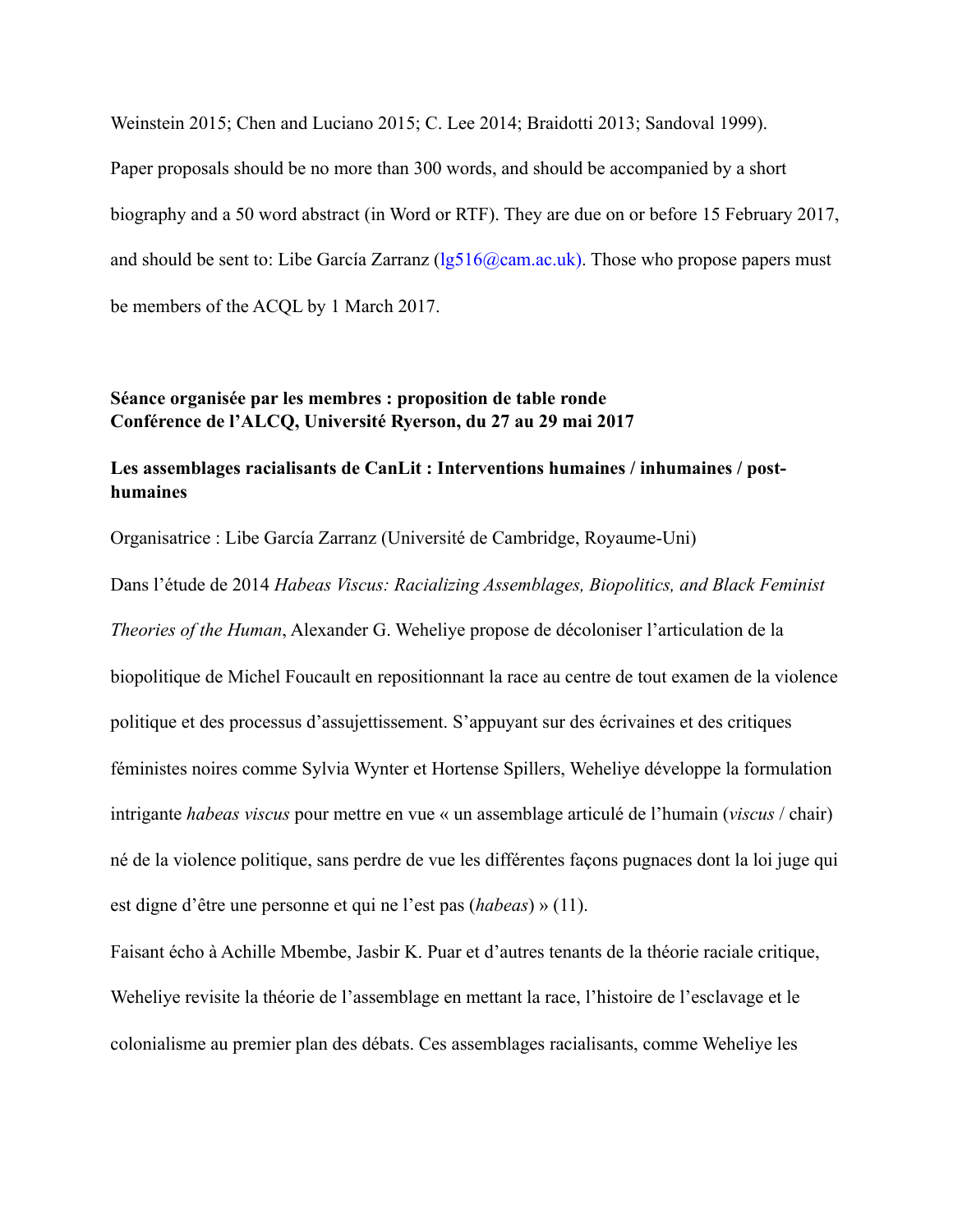Weinstein 2015; Chen and Luciano 2015; C. Lee 2014; Braidotti 2013; Sandoval 1999). Paper proposals should be no more than 300 words, and should be accompanied by a short biography and a 50 word abstract (in Word or RTF). They are due on or before 15 February 2017, and should be sent to: Libe García Zarranz  $(lg516@cam.ac.uk)$ . Those who propose papers must be members of the ACQL by 1 March 2017.

## **Séance organisée par les membres : proposition de table ronde Conférence de l'ALCQ, Université Ryerson, du 27 au 29 mai 2017**

## **Les assemblages racialisants de CanLit : Interventions humaines / inhumaines / posthumaines**

Organisatrice : Libe García Zarranz (Université de Cambridge, Royaume-Uni)

Dans l'étude de 2014 *Habeas Viscus: Racializing Assemblages, Biopolitics, and Black Feminist Theories of the Human*, Alexander G. Weheliye propose de décoloniser l'articulation de la biopolitique de Michel Foucault en repositionnant la race au centre de tout examen de la violence politique et des processus d'assujettissement. S'appuyant sur des écrivaines et des critiques féministes noires comme Sylvia Wynter et Hortense Spillers, Weheliye développe la formulation intrigante *habeas viscus* pour mettre en vue « un assemblage articulé de l'humain (*viscus* / chair) né de la violence politique, sans perdre de vue les différentes façons pugnaces dont la loi juge qui est digne d'être une personne et qui ne l'est pas (*habeas*) » (11).

Faisant écho à Achille Mbembe, Jasbir K. Puar et d'autres tenants de la théorie raciale critique, Weheliye revisite la théorie de l'assemblage en mettant la race, l'histoire de l'esclavage et le colonialisme au premier plan des débats. Ces assemblages racialisants, comme Weheliye les